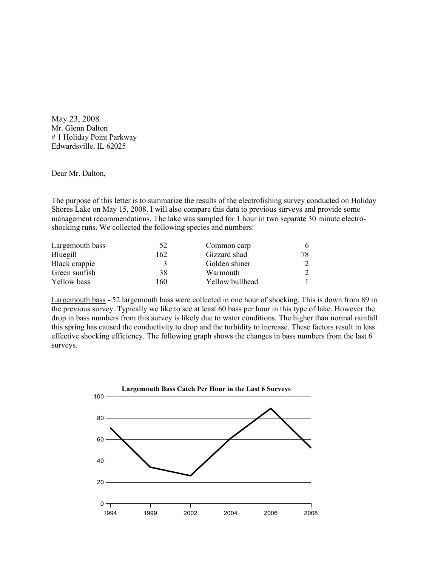May 23, 2008 Mr. Glenn Dalton # 1 Holiday Point Parkway Edwardsville, IL 62025

## Dear Mr. Dalton,

The purpose of this letter is to summarize the results of the electrofishing survey conducted on Holiday Shores Lake on May 15, 2008. I will also compare this data to previous surveys and provide some management recommendations. The lake was sampled for 1 hour in two separate 30 minute electroshocking runs. We collected the following species and numbers:

| Largemouth bass | 52  | Common carp     | 6. |
|-----------------|-----|-----------------|----|
| Bluegill        | 162 | Gizzard shad    | 78 |
| Black crappie   |     | Golden shiner   |    |
| Green sunfish   | 38  | Warmouth        |    |
| Yellow bass     | 160 | Yellow bullhead |    |

Largemouth bass - 52 largemouth bass were collected in one hour of shocking. This is down from 89 in the previous survey. Typically we like to see at least 60 bass per hour in this type of lake. However the drop in bass numbers from this survey is likely due to water conditions. The higher than normal rainfall this spring has caused the conductivity to drop and the turbidity to increase. These factors result in less effective shocking efficiency. The following graph shows the changes in bass numbers from the last 6 surveys.

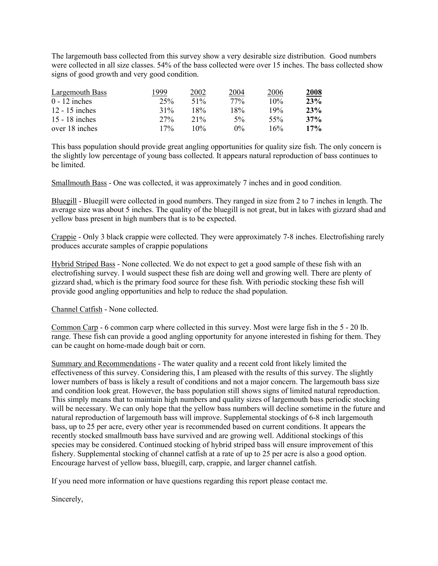The largemouth bass collected from this survey show a very desirable size distribution. Good numbers were collected in all size classes. 54% of the bass collected were over 15 inches. The bass collected show signs of good growth and very good condition.

| Largemouth Bass  | 1999   | 2002   | 2004  | 2006 | 2008 |
|------------------|--------|--------|-------|------|------|
| $0 - 12$ inches  | 25%    | 51\%   | 77%   | 10%  | 23%  |
| $12 - 15$ inches | $31\%$ | 18%    | 18%   | 19%  | 23%  |
| 15 - 18 inches   | 27%    | $21\%$ | $5\%$ | 55%  | 37%  |
| over 18 inches   | $17\%$ | $10\%$ | $0\%$ | 16%  | 17%  |

This bass population should provide great angling opportunities for quality size fish. The only concern is the slightly low percentage of young bass collected. It appears natural reproduction of bass continues to be limited.

Smallmouth Bass - One was collected, it was approximately 7 inches and in good condition.

Bluegill - Bluegill were collected in good numbers. They ranged in size from 2 to 7 inches in length. The average size was about 5 inches. The quality of the bluegill is not great, but in lakes with gizzard shad and yellow bass present in high numbers that is to be expected.

Crappie - Only 3 black crappie were collected. They were approximately 7-8 inches. Electrofishing rarely produces accurate samples of crappie populations

Hybrid Striped Bass - None collected. We do not expect to get a good sample of these fish with an electrofishing survey. I would suspect these fish are doing well and growing well. There are plenty of gizzard shad, which is the primary food source for these fish. With periodic stocking these fish will provide good angling opportunities and help to reduce the shad population.

Channel Catfish - None collected.

Common Carp - 6 common carp where collected in this survey. Most were large fish in the 5 - 20 lb. range. These fish can provide a good angling opportunity for anyone interested in fishing for them. They can be caught on home-made dough bait or corn.

Summary and Recommendations - The water quality and a recent cold front likely limited the effectiveness of this survey. Considering this, I am pleased with the results of this survey. The slightly lower numbers of bass is likely a result of conditions and not a major concern. The largemouth bass size and condition look great. However, the bass population still shows signs of limited natural reproduction. This simply means that to maintain high numbers and quality sizes of largemouth bass periodic stocking will be necessary. We can only hope that the yellow bass numbers will decline sometime in the future and natural reproduction of largemouth bass will improve. Supplemental stockings of 6-8 inch largemouth bass, up to 25 per acre, every other year is recommended based on current conditions. It appears the recently stocked smallmouth bass have survived and are growing well. Additional stockings of this species may be considered. Continued stocking of hybrid striped bass will ensure improvement of this fishery. Supplemental stocking of channel catfish at a rate of up to 25 per acre is also a good option. Encourage harvest of yellow bass, bluegill, carp, crappie, and larger channel catfish.

If you need more information or have questions regarding this report please contact me.

Sincerely,